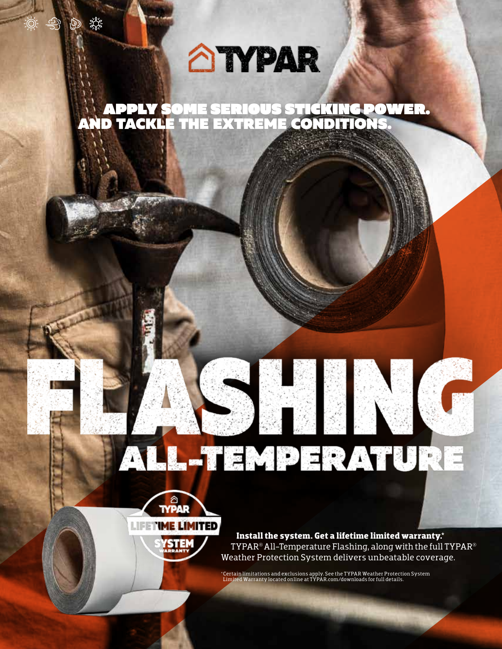# **ANPAR**

APPLY SOME SERIOUS STICKING POWER. AND TACKLE THE EXTREME CONDITIONS.



**FPO**

**Install the system. Get a lifetime limited warranty.\*** TYPAR® All-Temperature Flashing, along with the full TYPAR® Weather Protection System delivers unbeatable coverage.

\*Certain limitations and exclusions apply. See the TYPAR Weather Protection System Limited Warranty located online at TYPAR.com/downloads for full details.

ALL-TEMPERATURE